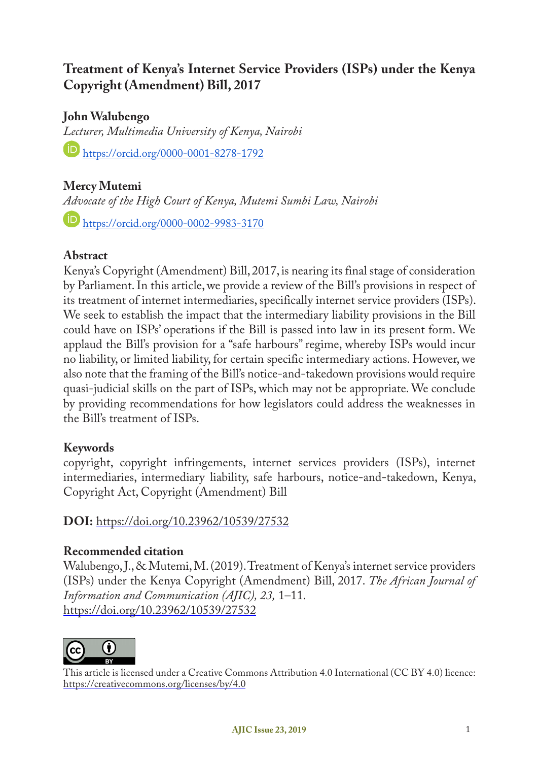# **Treatment of Kenya's Internet Service Providers (ISPs) under the Kenya Copyright (Amendment) Bill, 2017**

**John Walubengo**

*Lecturer, Multimedia University of Kenya, Nairobi* https://orcid.org/0000-0001-8278-1792

# **Mercy Mutemi**

*Advocate of the High Court of Kenya, Mutemi Sumbi Law, Nairobi* **https://orcid.org/0000-0002-9983-3170** 

# **Abstract**

Kenya's Copyright (Amendment) Bill, 2017, is nearing its final stage of consideration by Parliament. In this article, we provide a review of the Bill's provisions in respect of its treatment of internet intermediaries, specifically internet service providers (ISPs). We seek to establish the impact that the intermediary liability provisions in the Bill could have on ISPs' operations if the Bill is passed into law in its present form. We applaud the Bill's provision for a "safe harbours" regime, whereby ISPs would incur no liability, or limited liability, for certain specific intermediary actions. However, we also note that the framing of the Bill's notice-and-takedown provisions would require quasi-judicial skills on the part of ISPs, which may not be appropriate. We conclude by providing recommendations for how legislators could address the weaknesses in the Bill's treatment of ISPs.

## **Keywords**

copyright, copyright infringements, internet services providers (ISPs), internet intermediaries, intermediary liability, safe harbours, notice-and-takedown, Kenya, Copyright Act, Copyright (Amendment) Bill

# **DOI:** https://doi.org/10.23962/10539/27532

## **Recommended citation**

Walubengo, J., & Mutemi, M. (2019). Treatment of Kenya's internet service providers (ISPs) under the Kenya Copyright (Amendment) Bill, 2017. *The African Journal of Information and Communication (AJIC), 23,* 1–11. https://doi.org/10.23962/10539/27532



This article is licensed under a Creative Commons Attribution 4.0 International (CC BY 4.0) licence: https://creativecommons.org/licenses/by/4.0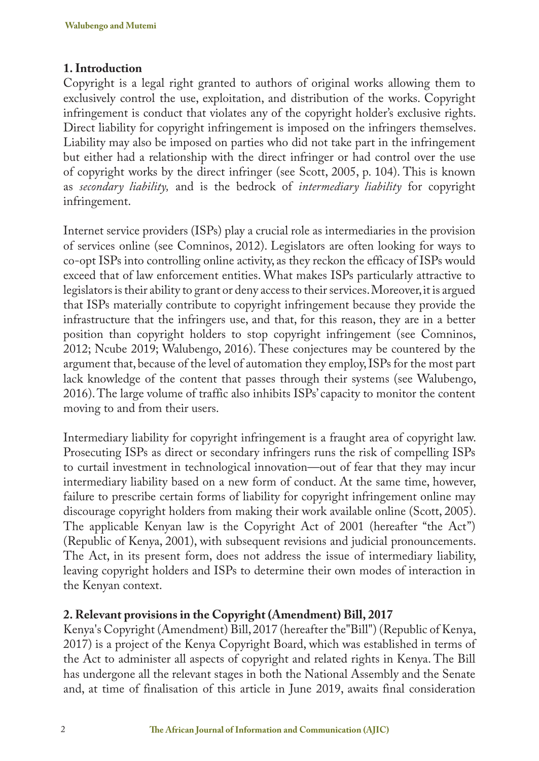## **1. Introduction**

Copyright is a legal right granted to authors of original works allowing them to exclusively control the use, exploitation, and distribution of the works. Copyright infringement is conduct that violates any of the copyright holder's exclusive rights. Direct liability for copyright infringement is imposed on the infringers themselves. Liability may also be imposed on parties who did not take part in the infringement but either had a relationship with the direct infringer or had control over the use of copyright works by the direct infringer (see Scott, 2005, p. 104). This is known as *secondary liability,* and is the bedrock of *intermediary liability* for copyright infringement.

Internet service providers (ISPs) play a crucial role as intermediaries in the provision of services online (see Comninos, 2012). Legislators are often looking for ways to co-opt ISPs into controlling online activity, as they reckon the efficacy of ISPs would exceed that of law enforcement entities. What makes ISPs particularly attractive to legislators is their ability to grant or deny access to their services. Moreover, it is argued that ISPs materially contribute to copyright infringement because they provide the infrastructure that the infringers use, and that, for this reason, they are in a better position than copyright holders to stop copyright infringement (see Comninos, 2012; Ncube 2019; Walubengo, 2016). These conjectures may be countered by the argument that, because of the level of automation they employ, ISPs for the most part lack knowledge of the content that passes through their systems (see Walubengo, 2016). The large volume of traffic also inhibits ISPs' capacity to monitor the content moving to and from their users.

Intermediary liability for copyright infringement is a fraught area of copyright law. Prosecuting ISPs as direct or secondary infringers runs the risk of compelling ISPs to curtail investment in technological innovation—out of fear that they may incur intermediary liability based on a new form of conduct. At the same time, however, failure to prescribe certain forms of liability for copyright infringement online may discourage copyright holders from making their work available online (Scott, 2005). The applicable Kenyan law is the Copyright Act of 2001 (hereafter "the Act") (Republic of Kenya, 2001), with subsequent revisions and judicial pronouncements. The Act, in its present form, does not address the issue of intermediary liability, leaving copyright holders and ISPs to determine their own modes of interaction in the Kenyan context.

## **2. Relevant provisions in the Copyright (Amendment) Bill, 2017**

Kenya's Copyright (Amendment) Bill, 2017 (hereafter the"Bill") (Republic of Kenya, 2017) is a project of the Kenya Copyright Board, which was established in terms of the Act to administer all aspects of copyright and related rights in Kenya. The Bill has undergone all the relevant stages in both the National Assembly and the Senate and, at time of finalisation of this article in June 2019, awaits final consideration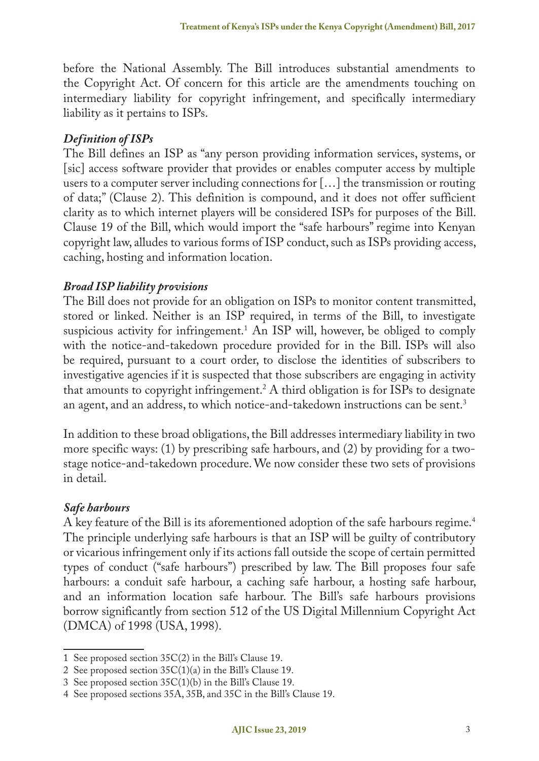before the National Assembly. The Bill introduces substantial amendments to the Copyright Act. Of concern for this article are the amendments touching on intermediary liability for copyright infringement, and specifically intermediary liability as it pertains to ISPs.

## *Definition of ISPs*

The Bill defines an ISP as "any person providing information services, systems, or [sic] access software provider that provides or enables computer access by multiple users to a computer server including connections for […] the transmission or routing of data;" (Clause 2). This definition is compound, and it does not offer sufficient clarity as to which internet players will be considered ISPs for purposes of the Bill. Clause 19 of the Bill, which would import the "safe harbours" regime into Kenyan copyright law, alludes to various forms of ISP conduct, such as ISPs providing access, caching, hosting and information location.

## *Broad ISP liability provisions*

The Bill does not provide for an obligation on ISPs to monitor content transmitted, stored or linked. Neither is an ISP required, in terms of the Bill, to investigate suspicious activity for infringement.1 An ISP will, however, be obliged to comply with the notice-and-takedown procedure provided for in the Bill. ISPs will also be required, pursuant to a court order, to disclose the identities of subscribers to investigative agencies if it is suspected that those subscribers are engaging in activity that amounts to copyright infringement.2 A third obligation is for ISPs to designate an agent, and an address, to which notice-and-takedown instructions can be sent.<sup>3</sup>

In addition to these broad obligations, the Bill addresses intermediary liability in two more specific ways: (1) by prescribing safe harbours, and (2) by providing for a twostage notice-and-takedown procedure. We now consider these two sets of provisions in detail.

## *Safe harbours*

A key feature of the Bill is its aforementioned adoption of the safe harbours regime.<sup>4</sup> The principle underlying safe harbours is that an ISP will be guilty of contributory or vicarious infringement only if its actions fall outside the scope of certain permitted types of conduct ("safe harbours") prescribed by law. The Bill proposes four safe harbours: a conduit safe harbour, a caching safe harbour, a hosting safe harbour, and an information location safe harbour. The Bill's safe harbours provisions borrow significantly from section 512 of the US Digital Millennium Copyright Act (DMCA) of 1998 (USA, 1998).

<sup>1</sup> See proposed section 35C(2) in the Bill's Clause 19.

<sup>2</sup> See proposed section 35C(1)(a) in the Bill's Clause 19.

<sup>3</sup> See proposed section 35C(1)(b) in the Bill's Clause 19.

<sup>4</sup> See proposed sections 35A, 35B, and 35C in the Bill's Clause 19.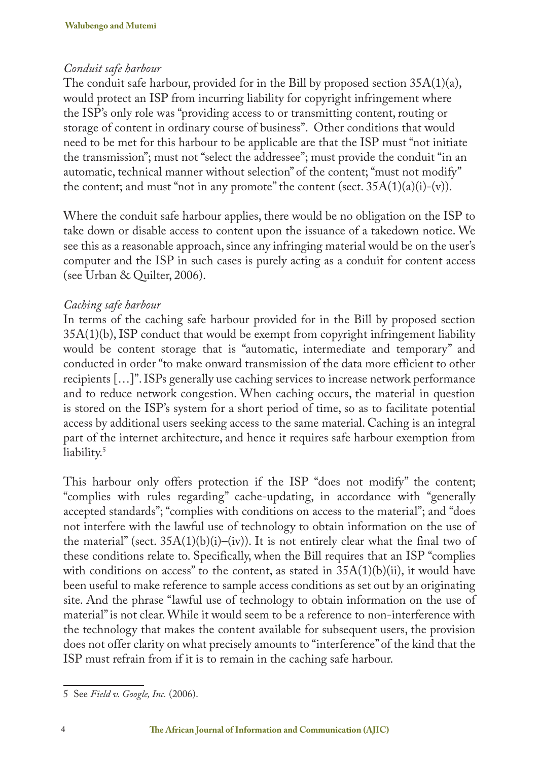## *Conduit safe harbour*

The conduit safe harbour, provided for in the Bill by proposed section 35A(1)(a), would protect an ISP from incurring liability for copyright infringement where the ISP's only role was "providing access to or transmitting content, routing or storage of content in ordinary course of business". Other conditions that would need to be met for this harbour to be applicable are that the ISP must "not initiate the transmission"; must not "select the addressee"; must provide the conduit "in an automatic, technical manner without selection" of the content; "must not modify" the content; and must "not in any promote" the content (sect.  $35A(1)(a)(i)-(v)$ ).

Where the conduit safe harbour applies, there would be no obligation on the ISP to take down or disable access to content upon the issuance of a takedown notice. We see this as a reasonable approach, since any infringing material would be on the user's computer and the ISP in such cases is purely acting as a conduit for content access (see Urban & Quilter, 2006).

## *Caching safe harbour*

In terms of the caching safe harbour provided for in the Bill by proposed section 35A(1)(b), ISP conduct that would be exempt from copyright infringement liability would be content storage that is "automatic, intermediate and temporary" and conducted in order "to make onward transmission of the data more efficient to other recipients […]". ISPs generally use caching services to increase network performance and to reduce network congestion. When caching occurs, the material in question is stored on the ISP's system for a short period of time, so as to facilitate potential access by additional users seeking access to the same material. Caching is an integral part of the internet architecture, and hence it requires safe harbour exemption from liability.<sup>5</sup>

This harbour only offers protection if the ISP "does not modify" the content; "complies with rules regarding" cache-updating, in accordance with "generally accepted standards"; "complies with conditions on access to the material"; and "does not interfere with the lawful use of technology to obtain information on the use of the material" (sect.  $35A(1)(b)(i)-(iv)$ ). It is not entirely clear what the final two of these conditions relate to. Specifically, when the Bill requires that an ISP "complies with conditions on access" to the content, as stated in  $35A(1)(b)(ii)$ , it would have been useful to make reference to sample access conditions as set out by an originating site. And the phrase "lawful use of technology to obtain information on the use of material" is not clear. While it would seem to be a reference to non-interference with the technology that makes the content available for subsequent users, the provision does not offer clarity on what precisely amounts to "interference" of the kind that the ISP must refrain from if it is to remain in the caching safe harbour.

<sup>5</sup> See *Field v. Google, Inc.* (2006).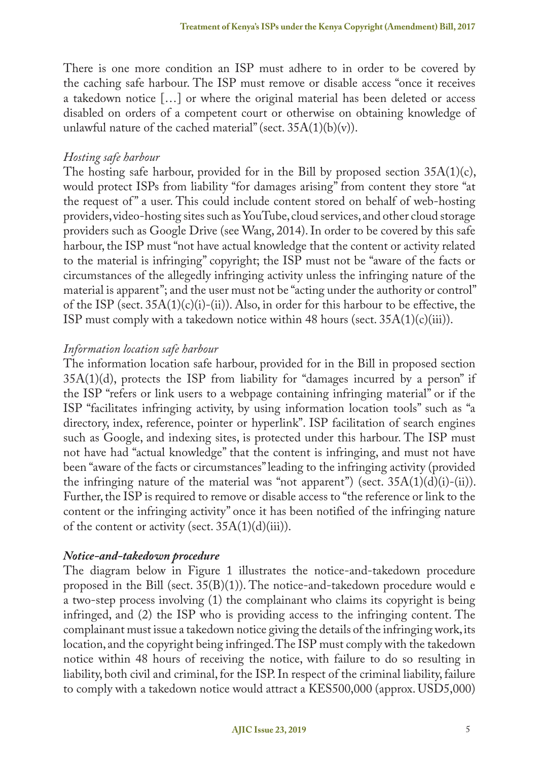There is one more condition an ISP must adhere to in order to be covered by the caching safe harbour. The ISP must remove or disable access "once it receives a takedown notice […] or where the original material has been deleted or access disabled on orders of a competent court or otherwise on obtaining knowledge of unlawful nature of the cached material" (sect.  $35A(1)(b)(v)$ ).

#### *Hosting safe harbour*

The hosting safe harbour, provided for in the Bill by proposed section 35A(1)(c), would protect ISPs from liability "for damages arising" from content they store "at the request of " a user. This could include content stored on behalf of web-hosting providers, video-hosting sites such as YouTube, cloud services, and other cloud storage providers such as Google Drive (see Wang, 2014). In order to be covered by this safe harbour, the ISP must "not have actual knowledge that the content or activity related to the material is infringing" copyright; the ISP must not be "aware of the facts or circumstances of the allegedly infringing activity unless the infringing nature of the material is apparent"; and the user must not be "acting under the authority or control" of the ISP (sect.  $35A(1)(c)(i)-(ii)$ ). Also, in order for this harbour to be effective, the ISP must comply with a takedown notice within 48 hours (sect.  $35A(1)(c)(iii)$ ).

#### *Information location safe harbour*

The information location safe harbour, provided for in the Bill in proposed section  $35A(1)(d)$ , protects the ISP from liability for "damages incurred by a person" if the ISP "refers or link users to a webpage containing infringing material" or if the ISP "facilitates infringing activity, by using information location tools" such as "a directory, index, reference, pointer or hyperlink". ISP facilitation of search engines such as Google, and indexing sites, is protected under this harbour. The ISP must not have had "actual knowledge" that the content is infringing, and must not have been "aware of the facts or circumstances" leading to the infringing activity (provided the infringing nature of the material was "not apparent") (sect.  $35A(1)(d)(i)-(ii)$ ). Further, the ISP is required to remove or disable access to "the reference or link to the content or the infringing activity" once it has been notified of the infringing nature of the content or activity (sect.  $35A(1)(d)(iii)$ ).

#### *Notice-and-takedown procedure*

The diagram below in Figure 1 illustrates the notice-and-takedown procedure proposed in the Bill (sect.  $35(B)(1)$ ). The notice-and-takedown procedure would e a two-step process involving (1) the complainant who claims its copyright is being infringed, and (2) the ISP who is providing access to the infringing content. The complainant must issue a takedown notice giving the details of the infringing work, its location, and the copyright being infringed. The ISP must comply with the takedown notice within 48 hours of receiving the notice, with failure to do so resulting in liability, both civil and criminal, for the ISP. In respect of the criminal liability, failure to comply with a takedown notice would attract a KES500,000 (approx. USD5,000)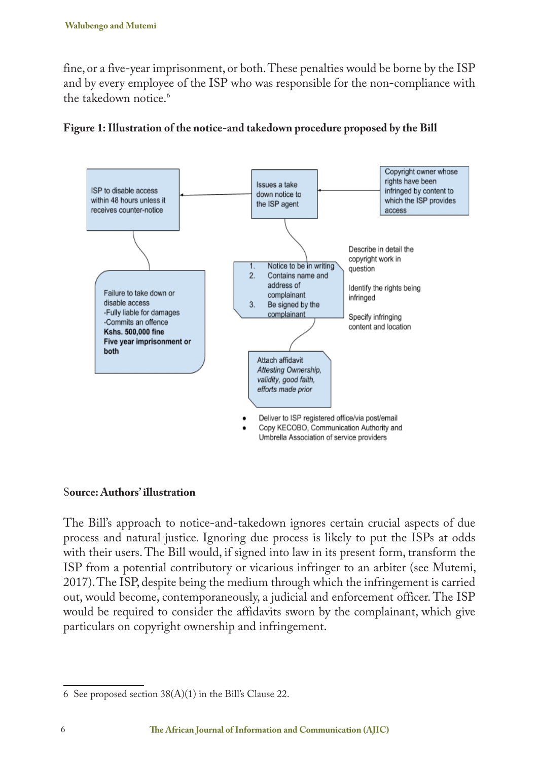fine, or a five-year imprisonment, or both. These penalties would be borne by the ISP and by every employee of the ISP who was responsible for the non-compliance with the takedown notice.<sup>6</sup>





#### S**ource: Authors' illustration**

The Bill's approach to notice-and-takedown ignores certain crucial aspects of due process and natural justice. Ignoring due process is likely to put the ISPs at odds with their users. The Bill would, if signed into law in its present form, transform the ISP from a potential contributory or vicarious infringer to an arbiter (see Mutemi, 2017). The ISP, despite being the medium through which the infringement is carried out, would become, contemporaneously, a judicial and enforcement officer. The ISP would be required to consider the affidavits sworn by the complainant, which give particulars on copyright ownership and infringement.

<sup>6</sup> See proposed section 38(A)(1) in the Bill's Clause 22.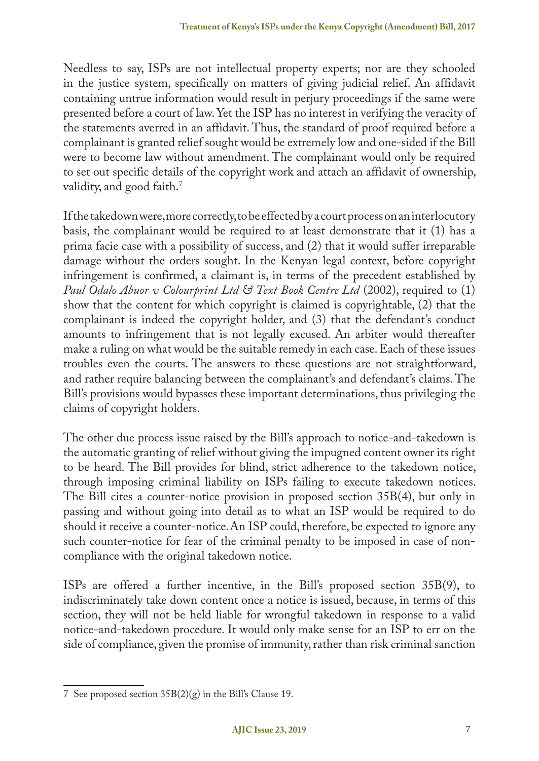Needless to say, ISPs are not intellectual property experts; nor are they schooled in the justice system, specifically on matters of giving judicial relief. An affidavit containing untrue information would result in perjury proceedings if the same were presented before a court of law. Yet the ISP has no interest in verifying the veracity of the statements averred in an affidavit. Thus, the standard of proof required before a complainant is granted relief sought would be extremely low and one-sided if the Bill were to become law without amendment. The complainant would only be required to set out specific details of the copyright work and attach an affidavit of ownership, validity, and good faith.<sup>7</sup>

If the takedown were, more correctly, to be effected by a court process on an interlocutory basis, the complainant would be required to at least demonstrate that it (1) has a prima facie case with a possibility of success, and (2) that it would suffer irreparable damage without the orders sought. In the Kenyan legal context, before copyright infringement is confirmed, a claimant is, in terms of the precedent established by *Paul Odalo Abuor v Colourprint Ltd & Text Book Centre Ltd* (2002), required to (1) show that the content for which copyright is claimed is copyrightable, (2) that the complainant is indeed the copyright holder, and (3) that the defendant's conduct amounts to infringement that is not legally excused. An arbiter would thereafter make a ruling on what would be the suitable remedy in each case. Each of these issues troubles even the courts. The answers to these questions are not straightforward, and rather require balancing between the complainant's and defendant's claims. The Bill's provisions would bypasses these important determinations, thus privileging the claims of copyright holders.

The other due process issue raised by the Bill's approach to notice-and-takedown is the automatic granting of relief without giving the impugned content owner its right to be heard. The Bill provides for blind, strict adherence to the takedown notice, through imposing criminal liability on ISPs failing to execute takedown notices. The Bill cites a counter-notice provision in proposed section 35B(4), but only in passing and without going into detail as to what an ISP would be required to do should it receive a counter-notice.An ISP could, therefore, be expected to ignore any such counter-notice for fear of the criminal penalty to be imposed in case of noncompliance with the original takedown notice.

ISPs are offered a further incentive, in the Bill's proposed section 35B(9), to indiscriminately take down content once a notice is issued, because, in terms of this section, they will not be held liable for wrongful takedown in response to a valid notice-and-takedown procedure. It would only make sense for an ISP to err on the side of compliance, given the promise of immunity, rather than risk criminal sanction

<sup>7</sup> See proposed section 35B(2)(g) in the Bill's Clause 19.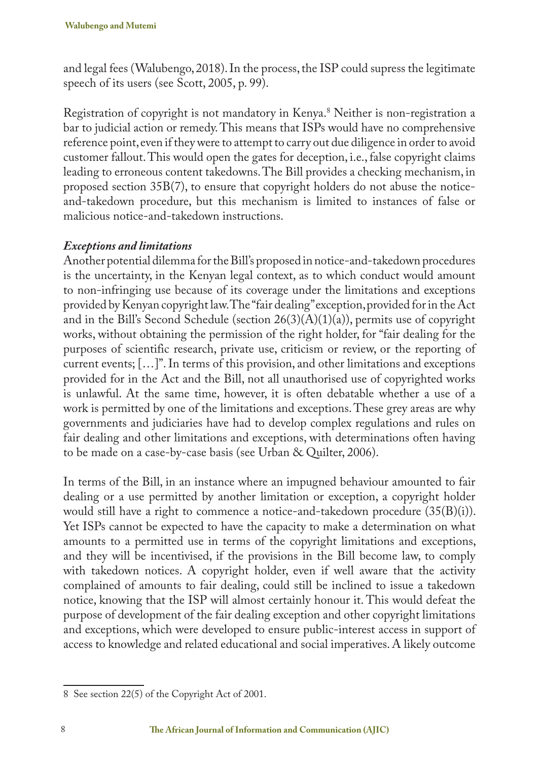and legal fees (Walubengo, 2018). In the process, the ISP could supress the legitimate speech of its users (see Scott, 2005, p. 99).

Registration of copyright is not mandatory in Kenya.8 Neither is non-registration a bar to judicial action or remedy. This means that ISPs would have no comprehensive reference point, even if they were to attempt to carry out due diligence in order to avoid customer fallout. This would open the gates for deception, i.e., false copyright claims leading to erroneous content takedowns. The Bill provides a checking mechanism, in proposed section 35B(7), to ensure that copyright holders do not abuse the noticeand-takedown procedure, but this mechanism is limited to instances of false or malicious notice-and-takedown instructions.

## *Exceptions and limitations*

Another potential dilemma for the Bill's proposed in notice-and-takedown procedures is the uncertainty, in the Kenyan legal context, as to which conduct would amount to non-infringing use because of its coverage under the limitations and exceptions provided by Kenyan copyright law. The "fair dealing" exception, provided for in the Act and in the Bill's Second Schedule (section  $26(3)(A)(1)(a)$ ), permits use of copyright works, without obtaining the permission of the right holder, for "fair dealing for the purposes of scientific research, private use, criticism or review, or the reporting of current events;  $[\ldots]^n$ . In terms of this provision, and other limitations and exceptions provided for in the Act and the Bill, not all unauthorised use of copyrighted works is unlawful. At the same time, however, it is often debatable whether a use of a work is permitted by one of the limitations and exceptions. These grey areas are why governments and judiciaries have had to develop complex regulations and rules on fair dealing and other limitations and exceptions, with determinations often having to be made on a case-by-case basis (see Urban & Quilter, 2006).

In terms of the Bill, in an instance where an impugned behaviour amounted to fair dealing or a use permitted by another limitation or exception, a copyright holder would still have a right to commence a notice-and-takedown procedure (35(B)(i)). Yet ISPs cannot be expected to have the capacity to make a determination on what amounts to a permitted use in terms of the copyright limitations and exceptions, and they will be incentivised, if the provisions in the Bill become law, to comply with takedown notices. A copyright holder, even if well aware that the activity complained of amounts to fair dealing, could still be inclined to issue a takedown notice, knowing that the ISP will almost certainly honour it. This would defeat the purpose of development of the fair dealing exception and other copyright limitations and exceptions, which were developed to ensure public-interest access in support of access to knowledge and related educational and social imperatives. A likely outcome

<sup>8</sup> See section 22(5) of the Copyright Act of 2001.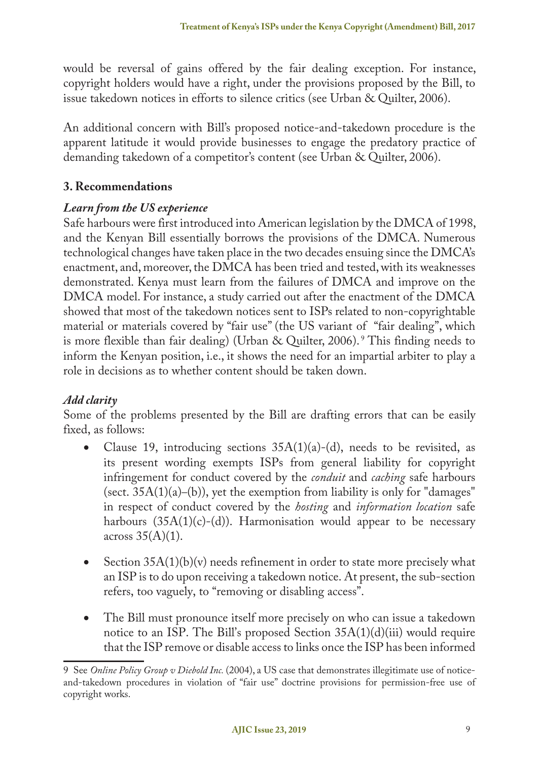would be reversal of gains offered by the fair dealing exception. For instance, copyright holders would have a right, under the provisions proposed by the Bill, to issue takedown notices in efforts to silence critics (see Urban & Quilter, 2006).

An additional concern with Bill's proposed notice-and-takedown procedure is the apparent latitude it would provide businesses to engage the predatory practice of demanding takedown of a competitor's content (see Urban & Quilter, 2006).

# **3. Recommendations**

# *Learn from the US experience*

Safe harbours were first introduced into American legislation by the DMCA of 1998, and the Kenyan Bill essentially borrows the provisions of the DMCA. Numerous technological changes have taken place in the two decades ensuing since the DMCA's enactment, and, moreover, the DMCA has been tried and tested, with its weaknesses demonstrated. Kenya must learn from the failures of DMCA and improve on the DMCA model. For instance, a study carried out after the enactment of the DMCA showed that most of the takedown notices sent to ISPs related to non-copyrightable material or materials covered by "fair use" (the US variant of "fair dealing", which is more flexible than fair dealing) (Urban & Quilter, 2006). <sup>9</sup> This finding needs to inform the Kenyan position, i.e., it shows the need for an impartial arbiter to play a role in decisions as to whether content should be taken down.

# *Add clarity*

Some of the problems presented by the Bill are drafting errors that can be easily fixed, as follows:

- Clause 19, introducing sections  $35A(1)(a)-(d)$ , needs to be revisited, as its present wording exempts ISPs from general liability for copyright infringement for conduct covered by the *conduit* and *caching* safe harbours (sect.  $35A(1)(a)$ –(b)), yet the exemption from liability is only for "damages" in respect of conduct covered by the *hosting* and *information location* safe harbours  $(35A(1)(c)-(d))$ . Harmonisation would appear to be necessary across  $35(A)(1)$ .
- Section  $35A(1)(b)(v)$  needs refinement in order to state more precisely what an ISP is to do upon receiving a takedown notice. At present, the sub-section refers, too vaguely, to "removing or disabling access".
- The Bill must pronounce itself more precisely on who can issue a takedown notice to an ISP. The Bill's proposed Section  $35A(1)(d)(iii)$  would require that the ISP remove or disable access to links once the ISP has been informed

<sup>9</sup> See *Online Policy Group v Diebold Inc.* (2004), a US case that demonstrates illegitimate use of noticeand-takedown procedures in violation of "fair use" doctrine provisions for permission-free use of copyright works.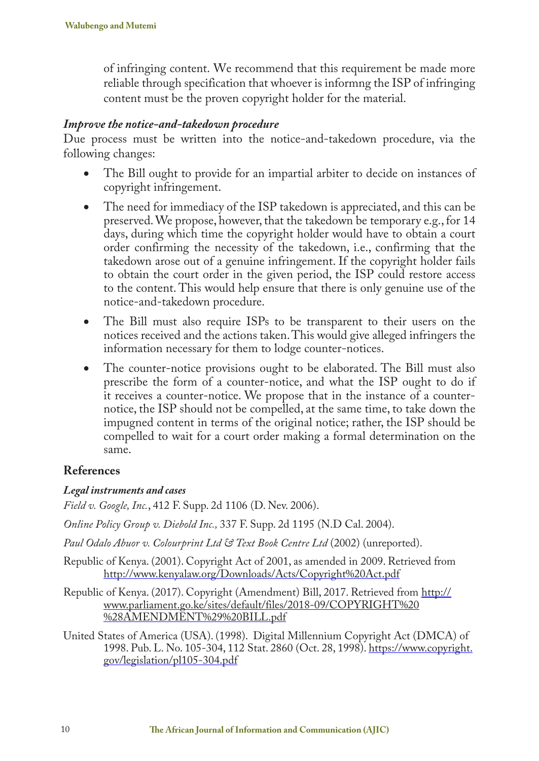of infringing content. We recommend that this requirement be made more reliable through specification that whoever is informng the ISP of infringing content must be the proven copyright holder for the material.

#### *Improve the notice-and-takedown procedure*

Due process must be written into the notice-and-takedown procedure, via the following changes:

- The Bill ought to provide for an impartial arbiter to decide on instances of copyright infringement.
- The need for immediacy of the ISP takedown is appreciated, and this can be preserved. We propose, however, that the takedown be temporary e.g., for 14 days, during which time the copyright holder would have to obtain a court order confirming the necessity of the takedown, i.e., confirming that the takedown arose out of a genuine infringement. If the copyright holder fails to obtain the court order in the given period, the ISP could restore access to the content. This would help ensure that there is only genuine use of the notice-and-takedown procedure.
- The Bill must also require ISPs to be transparent to their users on the notices received and the actions taken. This would give alleged infringers the information necessary for them to lodge counter-notices.
- The counter-notice provisions ought to be elaborated. The Bill must also prescribe the form of a counter-notice, and what the ISP ought to do if it receives a counter-notice. We propose that in the instance of a counternotice, the ISP should not be compelled, at the same time, to take down the impugned content in terms of the original notice; rather, the ISP should be compelled to wait for a court order making a formal determination on the same.

## **References**

#### *Legal instruments and cases*

*Field v. Google, Inc.*, 412 F. Supp. 2d 1106 (D. Nev. 2006).

*Online Policy Group v. Diebold Inc.,* 337 F. Supp. 2d 1195 (N.D Cal. 2004).

*Paul Odalo Abuor v. Colourprint Ltd & Text Book Centre Ltd* (2002) (unreported).

Republic of Kenya. (2001). Copyright Act of 2001, as amended in 2009. Retrieved from http://www.kenyalaw.org/Downloads/Acts/Copyright%20Act.pdf

Republic of Kenya. (2017). Copyright (Amendment) Bill, 2017. Retrieved from http:// www.parliament.go.ke/sites/default/files/2018-09/COPYRIGHT%20 %28AMENDMENT%29%20BILL.pdf

United States of America (USA). (1998). Digital Millennium Copyright Act (DMCA) of 1998. Pub. L. No. 105-304, 112 Stat. 2860 (Oct. 28, 1998). https://www.copyright. gov/legislation/pl105-304.pdf